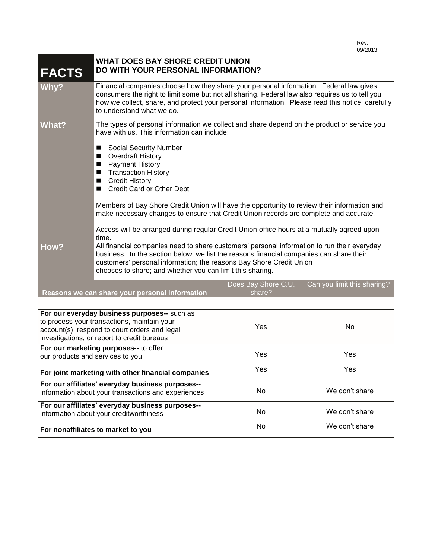| <b>FACTS</b>                                                                                                                                                                                | <b>WHAT DOES BAY SHORE CREDIT UNION</b><br>DO WITH YOUR PERSONAL INFORMATION?                                                                                                                                                                                                                                                                                                                                                                                                                                                                                                                                                                        |                               |                             |
|---------------------------------------------------------------------------------------------------------------------------------------------------------------------------------------------|------------------------------------------------------------------------------------------------------------------------------------------------------------------------------------------------------------------------------------------------------------------------------------------------------------------------------------------------------------------------------------------------------------------------------------------------------------------------------------------------------------------------------------------------------------------------------------------------------------------------------------------------------|-------------------------------|-----------------------------|
| Why?                                                                                                                                                                                        | Financial companies choose how they share your personal information. Federal law gives<br>consumers the right to limit some but not all sharing. Federal law also requires us to tell you<br>how we collect, share, and protect your personal information. Please read this notice carefully<br>to understand what we do.                                                                                                                                                                                                                                                                                                                            |                               |                             |
| <b>What?</b>                                                                                                                                                                                | The types of personal information we collect and share depend on the product or service you<br>have with us. This information can include:<br><b>Social Security Number</b><br>■<br><b>Overdraft History</b><br><b>Payment History</b><br>ш<br><b>Transaction History</b><br>п<br><b>Credit History</b><br>п<br><b>Credit Card or Other Debt</b><br>■<br>Members of Bay Shore Credit Union will have the opportunity to review their information and<br>make necessary changes to ensure that Credit Union records are complete and accurate.<br>Access will be arranged during regular Credit Union office hours at a mutually agreed upon<br>time. |                               |                             |
| How?                                                                                                                                                                                        | All financial companies need to share customers' personal information to run their everyday<br>business. In the section below, we list the reasons financial companies can share their<br>customers' personal information; the reasons Bay Shore Credit Union<br>chooses to share; and whether you can limit this sharing.                                                                                                                                                                                                                                                                                                                           |                               |                             |
| Reasons we can share your personal information                                                                                                                                              |                                                                                                                                                                                                                                                                                                                                                                                                                                                                                                                                                                                                                                                      | Does Bay Shore C.U.<br>share? | Can you limit this sharing? |
|                                                                                                                                                                                             |                                                                                                                                                                                                                                                                                                                                                                                                                                                                                                                                                                                                                                                      |                               |                             |
| For our everyday business purposes-- such as<br>to process your transactions, maintain your<br>account(s), respond to court orders and legal<br>investigations, or report to credit bureaus |                                                                                                                                                                                                                                                                                                                                                                                                                                                                                                                                                                                                                                                      | Yes                           | No                          |
| For our marketing purposes-- to offer<br>our products and services to you                                                                                                                   |                                                                                                                                                                                                                                                                                                                                                                                                                                                                                                                                                                                                                                                      | Yes                           | Yes                         |
| For joint marketing with other financial companies                                                                                                                                          |                                                                                                                                                                                                                                                                                                                                                                                                                                                                                                                                                                                                                                                      | Yes                           | Yes                         |
| For our affiliates' everyday business purposes--<br>information about your transactions and experiences                                                                                     |                                                                                                                                                                                                                                                                                                                                                                                                                                                                                                                                                                                                                                                      | No                            | We don't share              |
| For our affiliates' everyday business purposes--<br>information about your creditworthiness                                                                                                 |                                                                                                                                                                                                                                                                                                                                                                                                                                                                                                                                                                                                                                                      | No                            | We don't share              |
| For nonaffiliates to market to you                                                                                                                                                          |                                                                                                                                                                                                                                                                                                                                                                                                                                                                                                                                                                                                                                                      | No                            | We don't share              |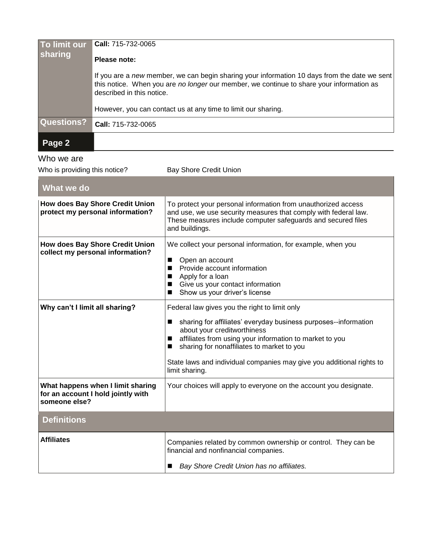| To limit our<br>sharing | <b>Call:</b> 715-732-0065                                                                                                                                                                                             |
|-------------------------|-----------------------------------------------------------------------------------------------------------------------------------------------------------------------------------------------------------------------|
|                         | Please note:                                                                                                                                                                                                          |
|                         | If you are a new member, we can begin sharing your information 10 days from the date we sent<br>this notice. When you are no longer our member, we continue to share your information as<br>described in this notice. |
|                         | However, you can contact us at any time to limit our sharing.                                                                                                                                                         |
| <b>Questions?</b>       | Call: 715-732-0065                                                                                                                                                                                                    |
| Page 2                  |                                                                                                                                                                                                                       |

## Who we are

| Who is providing this notice?                                                            | <b>Bay Shore Credit Union</b>                                                                                                                                                                                                                                                                                                                            |  |  |
|------------------------------------------------------------------------------------------|----------------------------------------------------------------------------------------------------------------------------------------------------------------------------------------------------------------------------------------------------------------------------------------------------------------------------------------------------------|--|--|
| What we do                                                                               |                                                                                                                                                                                                                                                                                                                                                          |  |  |
| <b>How does Bay Shore Credit Union</b><br>protect my personal information?               | To protect your personal information from unauthorized access<br>and use, we use security measures that comply with federal law.<br>These measures include computer safeguards and secured files<br>and buildings.                                                                                                                                       |  |  |
| <b>How does Bay Shore Credit Union</b><br>collect my personal information?               | We collect your personal information, for example, when you<br>Open an account<br>■<br>Provide account information<br>Apply for a loan<br>ш<br>Give us your contact information<br>Show us your driver's license<br>■                                                                                                                                    |  |  |
| Why can't I limit all sharing?                                                           | Federal law gives you the right to limit only<br>sharing for affiliates' everyday business purposes--information<br>ш<br>about your creditworthiness<br>affiliates from using your information to market to you<br>sharing for nonaffiliates to market to you<br>State laws and individual companies may give you additional rights to<br>limit sharing. |  |  |
| What happens when I limit sharing<br>for an account I hold jointly with<br>someone else? | Your choices will apply to everyone on the account you designate.                                                                                                                                                                                                                                                                                        |  |  |
| <b>Definitions</b>                                                                       |                                                                                                                                                                                                                                                                                                                                                          |  |  |
| <b>Affiliates</b>                                                                        | Companies related by common ownership or control. They can be<br>financial and nonfinancial companies.<br>Bay Shore Credit Union has no affiliates.                                                                                                                                                                                                      |  |  |